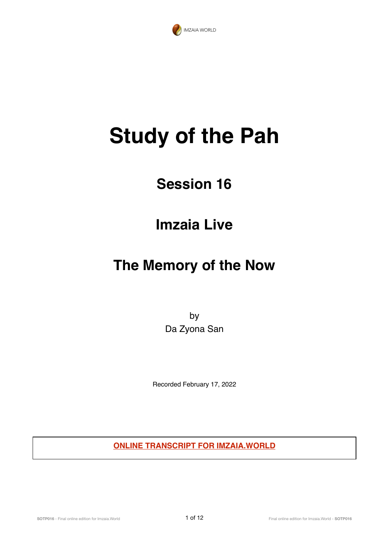

# **Study of the Pah**

# **Session 16**

### **Imzaia Live**

## **The Memory of the Now**

by Da Zyona San

Recorded February 17, 2022

**ONLINE TRANSCRIPT FOR IMZAIA.WORLD**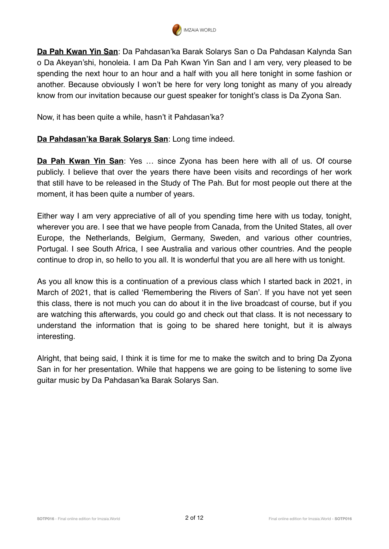

**Da Pah Kwan Yin San**: Da Pahdasan'ka Barak Solarys San o Da Pahdasan Kalynda San o Da Akeyan'shi, honoleia. I am Da Pah Kwan Yin San and I am very, very pleased to be spending the next hour to an hour and a half with you all here tonight in some fashion or another. Because obviously I won't be here for very long tonight as many of you already know from our invitation because our guest speaker for tonight's class is Da Zyona San.

Now, it has been quite a while, hasn't it Pahdasan'ka?

#### **Da Pahdasan'ka Barak Solarys San**: Long time indeed.

**Da Pah Kwan Yin San**: Yes … since Zyona has been here with all of us. Of course publicly. I believe that over the years there have been visits and recordings of her work that still have to be released in the Study of The Pah. But for most people out there at the moment, it has been quite a number of years.

Either way I am very appreciative of all of you spending time here with us today, tonight, wherever you are. I see that we have people from Canada, from the United States, all over Europe, the Netherlands, Belgium, Germany, Sweden, and various other countries, Portugal. I see South Africa, I see Australia and various other countries. And the people continue to drop in, so hello to you all. It is wonderful that you are all here with us tonight.

As you all know this is a continuation of a previous class which I started back in 2021, in March of 2021, that is called 'Remembering the Rivers of San'. If you have not yet seen this class, there is not much you can do about it in the live broadcast of course, but if you are watching this afterwards, you could go and check out that class. It is not necessary to understand the information that is going to be shared here tonight, but it is always interesting.

Alright, that being said, I think it is time for me to make the switch and to bring Da Zyona San in for her presentation. While that happens we are going to be listening to some live guitar music by Da Pahdasan'ka Barak Solarys San.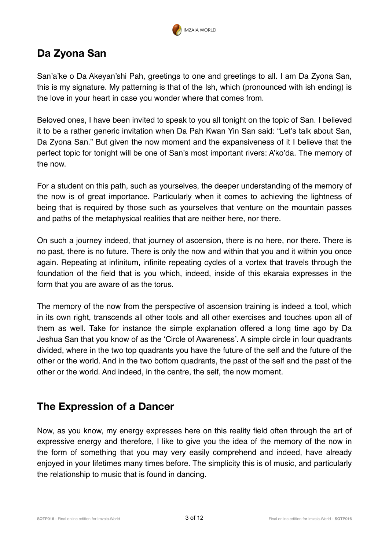

### **Da Zyona San**

San'a'ke o Da Akevan'shi Pah, greetings to one and greetings to all. I am Da Zyona San, this is my signature. My patterning is that of the Ish, which (pronounced with ish ending) is the love in your heart in case you wonder where that comes from.

Beloved ones, I have been invited to speak to you all tonight on the topic of San. I believed it to be a rather generic invitation when Da Pah Kwan Yin San said: "Let's talk about San, Da Zyona San." But given the now moment and the expansiveness of it I believe that the perfect topic for tonight will be one of San's most important rivers: A'ko'da. The memory of the now.

For a student on this path, such as yourselves, the deeper understanding of the memory of the now is of great importance. Particularly when it comes to achieving the lightness of being that is required by those such as yourselves that venture on the mountain passes and paths of the metaphysical realities that are neither here, nor there.

On such a journey indeed, that journey of ascension, there is no here, nor there. There is no past, there is no future. There is only the now and within that you and it within you once again. Repeating at infinitum, infinite repeating cycles of a vortex that travels through the foundation of the field that is you which, indeed, inside of this ekaraia expresses in the form that you are aware of as the torus.

The memory of the now from the perspective of ascension training is indeed a tool, which in its own right, transcends all other tools and all other exercises and touches upon all of them as well. Take for instance the simple explanation offered a long time ago by Da Jeshua San that you know of as the 'Circle of Awareness'. A simple circle in four quadrants divided, where in the two top quadrants you have the future of the self and the future of the other or the world. And in the two bottom quadrants, the past of the self and the past of the other or the world. And indeed, in the centre, the self, the now moment.

#### **The Expression of a Dancer**

Now, as you know, my energy expresses here on this reality field often through the art of expressive energy and therefore, I like to give you the idea of the memory of the now in the form of something that you may very easily comprehend and indeed, have already enjoyed in your lifetimes many times before. The simplicity this is of music, and particularly the relationship to music that is found in dancing.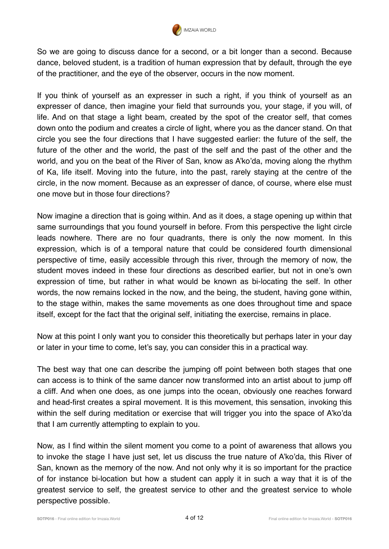

So we are going to discuss dance for a second, or a bit longer than a second. Because dance, beloved student, is a tradition of human expression that by default, through the eye of the practitioner, and the eye of the observer, occurs in the now moment.

If you think of yourself as an expresser in such a right, if you think of yourself as an expresser of dance, then imagine your field that surrounds you, your stage, if you will, of life. And on that stage a light beam, created by the spot of the creator self, that comes down onto the podium and creates a circle of light, where you as the dancer stand. On that circle you see the four directions that I have suggested earlier: the future of the self, the future of the other and the world, the past of the self and the past of the other and the world, and you on the beat of the River of San, know as A'ko'da, moving along the rhythm of Ka, life itself. Moving into the future, into the past, rarely staying at the centre of the circle, in the now moment. Because as an expresser of dance, of course, where else must one move but in those four directions?

Now imagine a direction that is going within. And as it does, a stage opening up within that same surroundings that you found yourself in before. From this perspective the light circle leads nowhere. There are no four quadrants, there is only the now moment. In this expression, which is of a temporal nature that could be considered fourth dimensional perspective of time, easily accessible through this river, through the memory of now, the student moves indeed in these four directions as described earlier, but not in one's own expression of time, but rather in what would be known as bi-locating the self. In other words, the now remains locked in the now, and the being, the student, having gone within, to the stage within, makes the same movements as one does throughout time and space itself, except for the fact that the original self, initiating the exercise, remains in place.

Now at this point I only want you to consider this theoretically but perhaps later in your day or later in your time to come, let's say, you can consider this in a practical way.

The best way that one can describe the jumping off point between both stages that one can access is to think of the same dancer now transformed into an artist about to jump off a cliff. And when one does, as one jumps into the ocean, obviously one reaches forward and head-first creates a spiral movement. It is this movement, this sensation, invoking this within the self during meditation or exercise that will trigger you into the space of A'ko'da that I am currently attempting to explain to you.

Now, as I find within the silent moment you come to a point of awareness that allows you to invoke the stage I have just set, let us discuss the true nature of A'ko'da, this River of San, known as the memory of the now. And not only why it is so important for the practice of for instance bi-location but how a student can apply it in such a way that it is of the greatest service to self, the greatest service to other and the greatest service to whole perspective possible.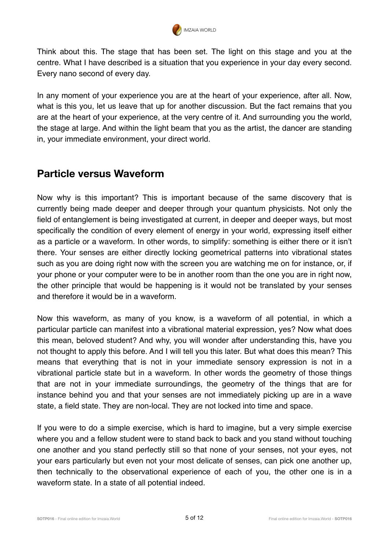

Think about this. The stage that has been set. The light on this stage and you at the centre. What I have described is a situation that you experience in your day every second. Every nano second of every day.

In any moment of your experience you are at the heart of your experience, after all. Now, what is this you, let us leave that up for another discussion. But the fact remains that you are at the heart of your experience, at the very centre of it. And surrounding you the world, the stage at large. And within the light beam that you as the artist, the dancer are standing in, your immediate environment, your direct world.

#### **Particle versus Waveform**

Now why is this important? This is important because of the same discovery that is currently being made deeper and deeper through your quantum physicists. Not only the field of entanglement is being investigated at current, in deeper and deeper ways, but most specifically the condition of every element of energy in your world, expressing itself either as a particle or a waveform. In other words, to simplify: something is either there or it isn't there. Your senses are either directly locking geometrical patterns into vibrational states such as you are doing right now with the screen you are watching me on for instance, or, if your phone or your computer were to be in another room than the one you are in right now, the other principle that would be happening is it would not be translated by your senses and therefore it would be in a waveform.

Now this waveform, as many of you know, is a waveform of all potential, in which a particular particle can manifest into a vibrational material expression, yes? Now what does this mean, beloved student? And why, you will wonder after understanding this, have you not thought to apply this before. And I will tell you this later. But what does this mean? This means that everything that is not in your immediate sensory expression is not in a vibrational particle state but in a waveform. In other words the geometry of those things that are not in your immediate surroundings, the geometry of the things that are for instance behind you and that your senses are not immediately picking up are in a wave state, a field state. They are non-local. They are not locked into time and space.

If you were to do a simple exercise, which is hard to imagine, but a very simple exercise where you and a fellow student were to stand back to back and you stand without touching one another and you stand perfectly still so that none of your senses, not your eyes, not your ears particularly but even not your most delicate of senses, can pick one another up, then technically to the observational experience of each of you, the other one is in a waveform state. In a state of all potential indeed.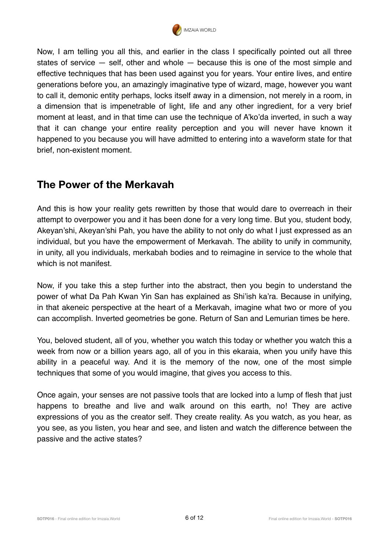

Now, I am telling you all this, and earlier in the class I specifically pointed out all three states of service — self, other and whole — because this is one of the most simple and effective techniques that has been used against you for years. Your entire lives, and entire generations before you, an amazingly imaginative type of wizard, mage, however you want to call it, demonic entity perhaps, locks itself away in a dimension, not merely in a room, in a dimension that is impenetrable of light, life and any other ingredient, for a very brief moment at least, and in that time can use the technique of A'ko'da inverted, in such a way that it can change your entire reality perception and you will never have known it happened to you because you will have admitted to entering into a waveform state for that brief, non-existent moment.

#### **The Power of the Merkavah**

And this is how your reality gets rewritten by those that would dare to overreach in their attempt to overpower you and it has been done for a very long time. But you, student body, Akeyan'shi, Akeyan'shi Pah, you have the ability to not only do what I just expressed as an individual, but you have the empowerment of Merkavah. The ability to unify in community, in unity, all you individuals, merkabah bodies and to reimagine in service to the whole that which is not manifest.

Now, if you take this a step further into the abstract, then you begin to understand the power of what Da Pah Kwan Yin San has explained as Shi'ish ka'ra. Because in unifying, in that akeneic perspective at the heart of a Merkavah, imagine what two or more of you can accomplish. Inverted geometries be gone. Return of San and Lemurian times be here.

You, beloved student, all of you, whether you watch this today or whether you watch this a week from now or a billion years ago, all of you in this ekaraia, when you unify have this ability in a peaceful way. And it is the memory of the now, one of the most simple techniques that some of you would imagine, that gives you access to this.

Once again, your senses are not passive tools that are locked into a lump of flesh that just happens to breathe and live and walk around on this earth, no! They are active expressions of you as the creator self. They create reality. As you watch, as you hear, as you see, as you listen, you hear and see, and listen and watch the difference between the passive and the active states?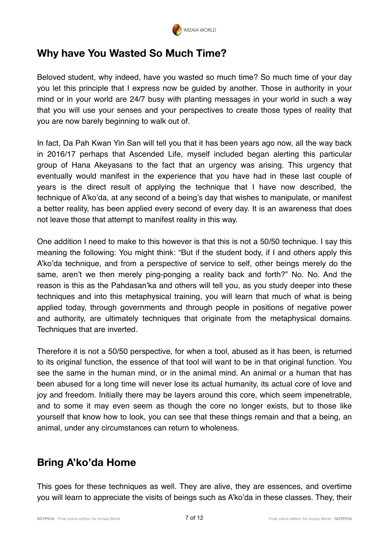

### **Why have You Wasted So Much Time?**

Beloved student, why indeed, have you wasted so much time? So much time of your day you let this principle that I express now be guided by another. Those in authority in your mind or in your world are 24/7 busy with planting messages in your world in such a way that you will use your senses and your perspectives to create those types of reality that you are now barely beginning to walk out of.

In fact, Da Pah Kwan Yin San will tell you that it has been years ago now, all the way back in 2016/17 perhaps that Ascended Life, myself included began alerting this particular group of Hana Akeyasans to the fact that an urgency was arising. This urgency that eventually would manifest in the experience that you have had in these last couple of years is the direct result of applying the technique that I have now described, the technique of A'ko'da, at any second of a being's day that wishes to manipulate, or manifest a better reality, has been applied every second of every day. It is an awareness that does not leave those that attempt to manifest reality in this way.

One addition I need to make to this however is that this is not a 50/50 technique. I say this meaning the following: You might think: "But if the student body, if I and others apply this A'ko'da technique, and from a perspective of service to self, other beings merely do the same, aren't we then merely ping-ponging a reality back and forth?" No. No. And the reason is this as the Pahdasan'ka and others will tell you, as you study deeper into these techniques and into this metaphysical training, you will learn that much of what is being applied today, through governments and through people in positions of negative power and authority, are ultimately techniques that originate from the metaphysical domains. Techniques that are inverted.

Therefore it is not a 50/50 perspective, for when a tool, abused as it has been, is returned to its original function, the essence of that tool will want to be in that original function. You see the same in the human mind, or in the animal mind. An animal or a human that has been abused for a long time will never lose its actual humanity, its actual core of love and joy and freedom. Initially there may be layers around this core, which seem impenetrable, and to some it may even seem as though the core no longer exists, but to those like yourself that know how to look, you can see that these things remain and that a being, an animal, under any circumstances can return to wholeness.

### **Bring A'ko'da Home**

This goes for these techniques as well. They are alive, they are essences, and overtime you will learn to appreciate the visits of beings such as A'ko'da in these classes. They, their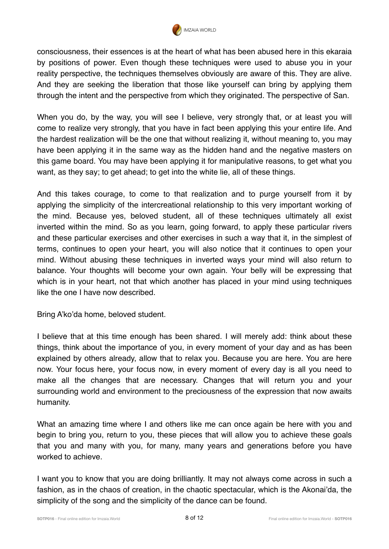

consciousness, their essences is at the heart of what has been abused here in this ekaraia by positions of power. Even though these techniques were used to abuse you in your reality perspective, the techniques themselves obviously are aware of this. They are alive. And they are seeking the liberation that those like yourself can bring by applying them through the intent and the perspective from which they originated. The perspective of San.

When you do, by the way, you will see I believe, very strongly that, or at least you will come to realize very strongly, that you have in fact been applying this your entire life. And the hardest realization will be the one that without realizing it, without meaning to, you may have been applying it in the same way as the hidden hand and the negative masters on this game board. You may have been applying it for manipulative reasons, to get what you want, as they say; to get ahead; to get into the white lie, all of these things.

And this takes courage, to come to that realization and to purge yourself from it by applying the simplicity of the intercreational relationship to this very important working of the mind. Because yes, beloved student, all of these techniques ultimately all exist inverted within the mind. So as you learn, going forward, to apply these particular rivers and these particular exercises and other exercises in such a way that it, in the simplest of terms, continues to open your heart, you will also notice that it continues to open your mind. Without abusing these techniques in inverted ways your mind will also return to balance. Your thoughts will become your own again. Your belly will be expressing that which is in your heart, not that which another has placed in your mind using techniques like the one I have now described.

Bring A'ko'da home, beloved student.

I believe that at this time enough has been shared. I will merely add: think about these things, think about the importance of you, in every moment of your day and as has been explained by others already, allow that to relax you. Because you are here. You are here now. Your focus here, your focus now, in every moment of every day is all you need to make all the changes that are necessary. Changes that will return you and your surrounding world and environment to the preciousness of the expression that now awaits humanity.

What an amazing time where I and others like me can once again be here with you and begin to bring you, return to you, these pieces that will allow you to achieve these goals that you and many with you, for many, many years and generations before you have worked to achieve.

I want you to know that you are doing brilliantly. It may not always come across in such a fashion, as in the chaos of creation, in the chaotic spectacular, which is the Akonai'da, the simplicity of the song and the simplicity of the dance can be found.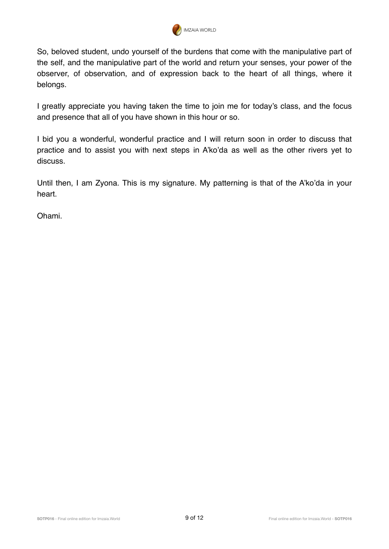

So, beloved student, undo yourself of the burdens that come with the manipulative part of the self, and the manipulative part of the world and return your senses, your power of the observer, of observation, and of expression back to the heart of all things, where it belongs.

I greatly appreciate you having taken the time to join me for today's class, and the focus and presence that all of you have shown in this hour or so.

I bid you a wonderful, wonderful practice and I will return soon in order to discuss that practice and to assist you with next steps in A'ko'da as well as the other rivers yet to discuss.

Until then, I am Zyona. This is my signature. My patterning is that of the A'ko'da in your heart.

Ohami.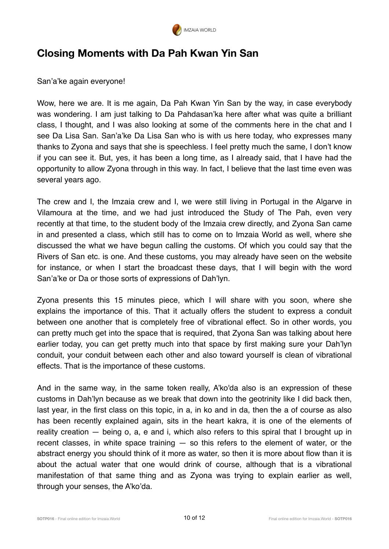

#### **Closing Moments with Da Pah Kwan Yin San**

San'a'ke again everyone!

Wow, here we are. It is me again, Da Pah Kwan Yin San by the way, in case everybody was wondering. I am just talking to Da Pahdasan'ka here after what was quite a brilliant class, I thought, and I was also looking at some of the comments here in the chat and I see Da Lisa San. San'a'ke Da Lisa San who is with us here today, who expresses many thanks to Zyona and says that she is speechless. I feel pretty much the same, I don't know if you can see it. But, yes, it has been a long time, as I already said, that I have had the opportunity to allow Zyona through in this way. In fact, I believe that the last time even was several years ago.

The crew and I, the Imzaia crew and I, we were still living in Portugal in the Algarve in Vilamoura at the time, and we had just introduced the Study of The Pah, even very recently at that time, to the student body of the Imzaia crew directly, and Zyona San came in and presented a class, which still has to come on to Imzaia World as well, where she discussed the what we have begun calling the customs. Of which you could say that the Rivers of San etc. is one. And these customs, you may already have seen on the website for instance, or when I start the broadcast these days, that I will begin with the word San'a'ke or Da or those sorts of expressions of Dah'lyn.

Zyona presents this 15 minutes piece, which I will share with you soon, where she explains the importance of this. That it actually offers the student to express a conduit between one another that is completely free of vibrational effect. So in other words, you can pretty much get into the space that is required, that Zyona San was talking about here earlier today, you can get pretty much into that space by first making sure your Dah'lyn conduit, your conduit between each other and also toward yourself is clean of vibrational effects. That is the importance of these customs.

And in the same way, in the same token really, A'ko'da also is an expression of these customs in Dah'lyn because as we break that down into the geotrinity like I did back then, last year, in the first class on this topic, in a, in ko and in da, then the a of course as also has been recently explained again, sits in the heart kakra, it is one of the elements of reality creation — being o, a, e and i, which also refers to this spiral that I brought up in recent classes, in white space training  $-$  so this refers to the element of water, or the abstract energy you should think of it more as water, so then it is more about flow than it is about the actual water that one would drink of course, although that is a vibrational manifestation of that same thing and as Zyona was trying to explain earlier as well, through your senses, the A'ko'da.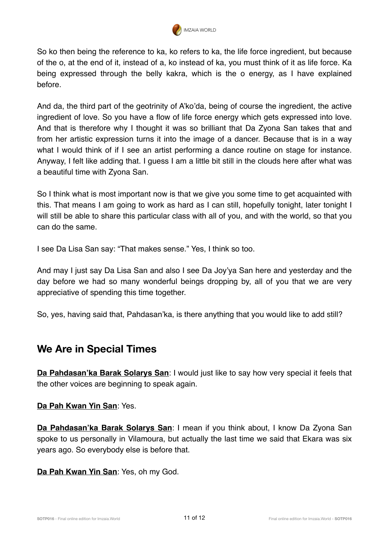

So ko then being the reference to ka, ko refers to ka, the life force ingredient, but because of the o, at the end of it, instead of a, ko instead of ka, you must think of it as life force. Ka being expressed through the belly kakra, which is the o energy, as I have explained before.

And da, the third part of the geotrinity of A'ko'da, being of course the ingredient, the active ingredient of love. So you have a flow of life force energy which gets expressed into love. And that is therefore why I thought it was so brilliant that Da Zyona San takes that and from her artistic expression turns it into the image of a dancer. Because that is in a way what I would think of if I see an artist performing a dance routine on stage for instance. Anyway, I felt like adding that. I guess I am a little bit still in the clouds here after what was a beautiful time with Zyona San.

So I think what is most important now is that we give you some time to get acquainted with this. That means I am going to work as hard as I can still, hopefully tonight, later tonight I will still be able to share this particular class with all of you, and with the world, so that you can do the same.

I see Da Lisa San say: "That makes sense." Yes, I think so too.

And may I just say Da Lisa San and also I see Da Joy'ya San here and yesterday and the day before we had so many wonderful beings dropping by, all of you that we are very appreciative of spending this time together.

So, yes, having said that, Pahdasan'ka, is there anything that you would like to add still?

#### **We Are in Special Times**

**Da Pahdasan'ka Barak Solarys San**: I would just like to say how very special it feels that the other voices are beginning to speak again.

#### **Da Pah Kwan Yin San**: Yes.

**Da Pahdasan'ka Barak Solarys San**: I mean if you think about, I know Da Zyona San spoke to us personally in Vilamoura, but actually the last time we said that Ekara was six years ago. So everybody else is before that.

**Da Pah Kwan Yin San**: Yes, oh my God.